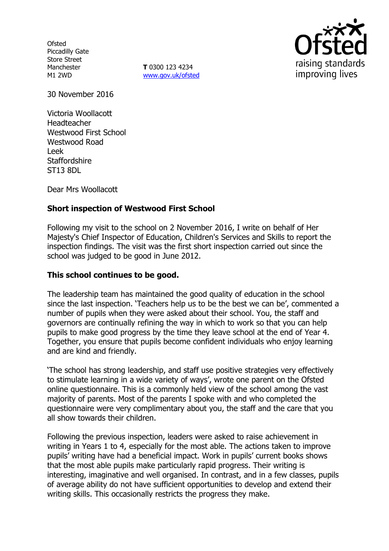**Ofsted** Piccadilly Gate Store Street Manchester M1 2WD

**T** 0300 123 4234 www.gov.uk/ofsted



30 November 2016

Victoria Woollacott Headteacher Westwood First School Westwood Road Leek **Staffordshire** ST13 8DL

Dear Mrs Woollacott

# **Short inspection of Westwood First School**

Following my visit to the school on 2 November 2016, I write on behalf of Her Majesty's Chief Inspector of Education, Children's Services and Skills to report the inspection findings. The visit was the first short inspection carried out since the school was judged to be good in June 2012.

### **This school continues to be good.**

The leadership team has maintained the good quality of education in the school since the last inspection. 'Teachers help us to be the best we can be', commented a number of pupils when they were asked about their school. You, the staff and governors are continually refining the way in which to work so that you can help pupils to make good progress by the time they leave school at the end of Year 4. Together, you ensure that pupils become confident individuals who enjoy learning and are kind and friendly.

'The school has strong leadership, and staff use positive strategies very effectively to stimulate learning in a wide variety of ways', wrote one parent on the Ofsted online questionnaire. This is a commonly held view of the school among the vast majority of parents. Most of the parents I spoke with and who completed the questionnaire were very complimentary about you, the staff and the care that you all show towards their children.

Following the previous inspection, leaders were asked to raise achievement in writing in Years 1 to 4, especially for the most able. The actions taken to improve pupils' writing have had a beneficial impact. Work in pupils' current books shows that the most able pupils make particularly rapid progress. Their writing is interesting, imaginative and well organised. In contrast, and in a few classes, pupils of average ability do not have sufficient opportunities to develop and extend their writing skills. This occasionally restricts the progress they make.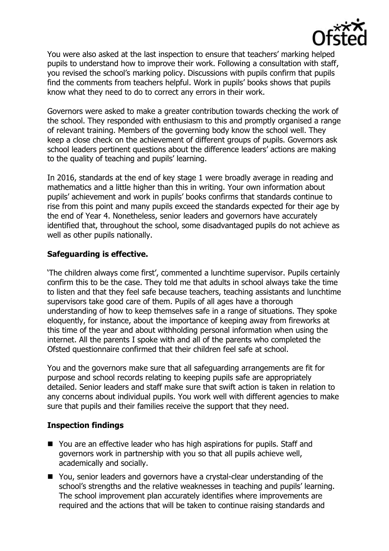

You were also asked at the last inspection to ensure that teachers' marking helped pupils to understand how to improve their work. Following a consultation with staff, you revised the school's marking policy. Discussions with pupils confirm that pupils find the comments from teachers helpful. Work in pupils' books shows that pupils know what they need to do to correct any errors in their work.

Governors were asked to make a greater contribution towards checking the work of the school. They responded with enthusiasm to this and promptly organised a range of relevant training. Members of the governing body know the school well. They keep a close check on the achievement of different groups of pupils. Governors ask school leaders pertinent questions about the difference leaders' actions are making to the quality of teaching and pupils' learning.

In 2016, standards at the end of key stage 1 were broadly average in reading and mathematics and a little higher than this in writing. Your own information about pupils' achievement and work in pupils' books confirms that standards continue to rise from this point and many pupils exceed the standards expected for their age by the end of Year 4. Nonetheless, senior leaders and governors have accurately identified that, throughout the school, some disadvantaged pupils do not achieve as well as other pupils nationally.

# **Safeguarding is effective.**

'The children always come first', commented a lunchtime supervisor. Pupils certainly confirm this to be the case. They told me that adults in school always take the time to listen and that they feel safe because teachers, teaching assistants and lunchtime supervisors take good care of them. Pupils of all ages have a thorough understanding of how to keep themselves safe in a range of situations. They spoke eloquently, for instance, about the importance of keeping away from fireworks at this time of the year and about withholding personal information when using the internet. All the parents I spoke with and all of the parents who completed the Ofsted questionnaire confirmed that their children feel safe at school.

You and the governors make sure that all safeguarding arrangements are fit for purpose and school records relating to keeping pupils safe are appropriately detailed. Senior leaders and staff make sure that swift action is taken in relation to any concerns about individual pupils. You work well with different agencies to make sure that pupils and their families receive the support that they need.

### **Inspection findings**

- You are an effective leader who has high aspirations for pupils. Staff and governors work in partnership with you so that all pupils achieve well, academically and socially.
- You, senior leaders and governors have a crystal-clear understanding of the school's strengths and the relative weaknesses in teaching and pupils' learning. The school improvement plan accurately identifies where improvements are required and the actions that will be taken to continue raising standards and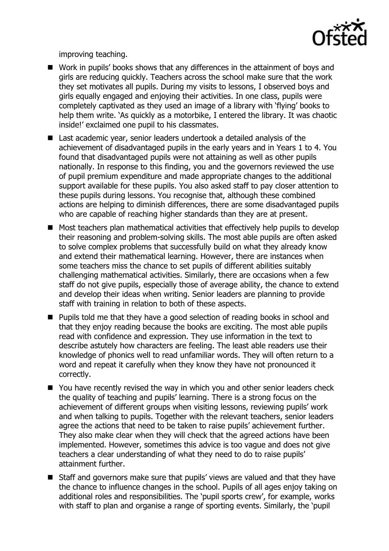

improving teaching.

- Work in pupils' books shows that any differences in the attainment of boys and girls are reducing quickly. Teachers across the school make sure that the work they set motivates all pupils. During my visits to lessons, I observed boys and girls equally engaged and enjoying their activities. In one class, pupils were completely captivated as they used an image of a library with 'flying' books to help them write. 'As quickly as a motorbike, I entered the library. It was chaotic inside!' exclaimed one pupil to his classmates.
- Last academic year, senior leaders undertook a detailed analysis of the achievement of disadvantaged pupils in the early years and in Years 1 to 4. You found that disadvantaged pupils were not attaining as well as other pupils nationally. In response to this finding, you and the governors reviewed the use of pupil premium expenditure and made appropriate changes to the additional support available for these pupils. You also asked staff to pay closer attention to these pupils during lessons. You recognise that, although these combined actions are helping to diminish differences, there are some disadvantaged pupils who are capable of reaching higher standards than they are at present.
- Most teachers plan mathematical activities that effectively help pupils to develop their reasoning and problem-solving skills. The most able pupils are often asked to solve complex problems that successfully build on what they already know and extend their mathematical learning. However, there are instances when some teachers miss the chance to set pupils of different abilities suitably challenging mathematical activities. Similarly, there are occasions when a few staff do not give pupils, especially those of average ability, the chance to extend and develop their ideas when writing. Senior leaders are planning to provide staff with training in relation to both of these aspects.
- Pupils told me that they have a good selection of reading books in school and that they enjoy reading because the books are exciting. The most able pupils read with confidence and expression. They use information in the text to describe astutely how characters are feeling. The least able readers use their knowledge of phonics well to read unfamiliar words. They will often return to a word and repeat it carefully when they know they have not pronounced it correctly.
- You have recently revised the way in which you and other senior leaders check the quality of teaching and pupils' learning. There is a strong focus on the achievement of different groups when visiting lessons, reviewing pupils' work and when talking to pupils. Together with the relevant teachers, senior leaders agree the actions that need to be taken to raise pupils' achievement further. They also make clear when they will check that the agreed actions have been implemented. However, sometimes this advice is too vague and does not give teachers a clear understanding of what they need to do to raise pupils' attainment further.
- Staff and governors make sure that pupils' views are valued and that they have the chance to influence changes in the school. Pupils of all ages enjoy taking on additional roles and responsibilities. The 'pupil sports crew', for example, works with staff to plan and organise a range of sporting events. Similarly, the 'pupil